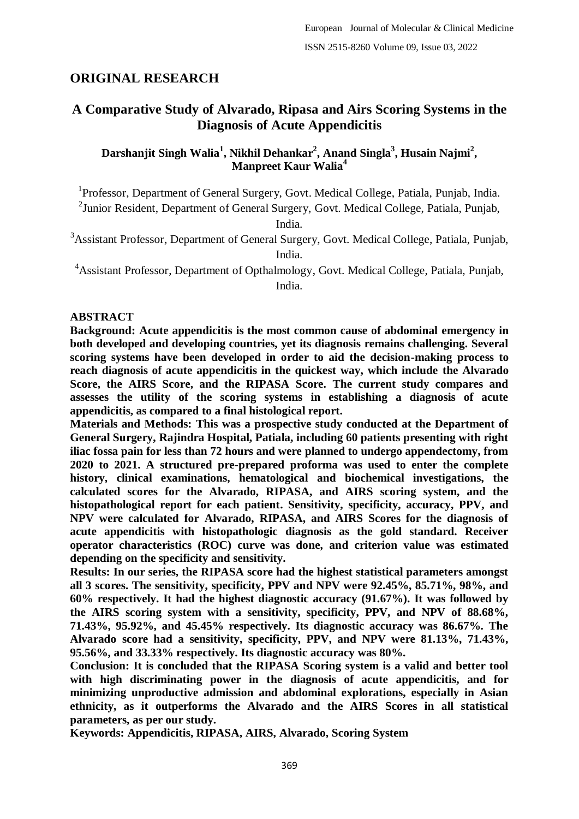# **ORIGINAL RESEARCH**

# **A Comparative Study of Alvarado, Ripasa and Airs Scoring Systems in the Diagnosis of Acute Appendicitis**

# **Darshanjit Singh Walia<sup>1</sup> , Nikhil Dehankar<sup>2</sup> , Anand Singla<sup>3</sup> , Husain Najmi<sup>2</sup> , Manpreet Kaur Walia<sup>4</sup>**

<sup>1</sup>Professor, Department of General Surgery, Govt. Medical College, Patiala, Punjab, India.

<sup>2</sup> Junior Resident, Department of General Surgery, Govt. Medical College, Patiala, Punjab,

India.

<sup>3</sup>Assistant Professor, Department of General Surgery, Govt. Medical College, Patiala, Punjab, India.

<sup>4</sup>Assistant Professor, Department of Opthalmology, Govt. Medical College, Patiala, Punjab, India.

# **ABSTRACT**

**Background: Acute appendicitis is the most common cause of abdominal emergency in both developed and developing countries, yet its diagnosis remains challenging. Several scoring systems have been developed in order to aid the decision-making process to reach diagnosis of acute appendicitis in the quickest way, which include the Alvarado Score, the AIRS Score, and the RIPASA Score. The current study compares and assesses the utility of the scoring systems in establishing a diagnosis of acute appendicitis, as compared to a final histological report.**

**Materials and Methods: This was a prospective study conducted at the Department of General Surgery, Rajindra Hospital, Patiala, including 60 patients presenting with right iliac fossa pain for less than 72 hours and were planned to undergo appendectomy, from 2020 to 2021. A structured pre-prepared proforma was used to enter the complete history, clinical examinations, hematological and biochemical investigations, the calculated scores for the Alvarado, RIPASA, and AIRS scoring system, and the histopathological report for each patient. Sensitivity, specificity, accuracy, PPV, and NPV were calculated for Alvarado, RIPASA, and AIRS Scores for the diagnosis of acute appendicitis with histopathologic diagnosis as the gold standard. Receiver operator characteristics (ROC) curve was done, and criterion value was estimated depending on the specificity and sensitivity.**

**Results: In our series, the RIPASA score had the highest statistical parameters amongst all 3 scores. The sensitivity, specificity, PPV and NPV were 92.45%, 85.71%, 98%, and 60% respectively. It had the highest diagnostic accuracy (91.67%). It was followed by the AIRS scoring system with a sensitivity, specificity, PPV, and NPV of 88.68%, 71.43%, 95.92%, and 45.45% respectively. Its diagnostic accuracy was 86.67%. The Alvarado score had a sensitivity, specificity, PPV, and NPV were 81.13%, 71.43%, 95.56%, and 33.33% respectively. Its diagnostic accuracy was 80%.**

**Conclusion: It is concluded that the RIPASA Scoring system is a valid and better tool with high discriminating power in the diagnosis of acute appendicitis, and for minimizing unproductive admission and abdominal explorations, especially in Asian ethnicity, as it outperforms the Alvarado and the AIRS Scores in all statistical parameters, as per our study.**

**Keywords: Appendicitis, RIPASA, AIRS, Alvarado, Scoring System**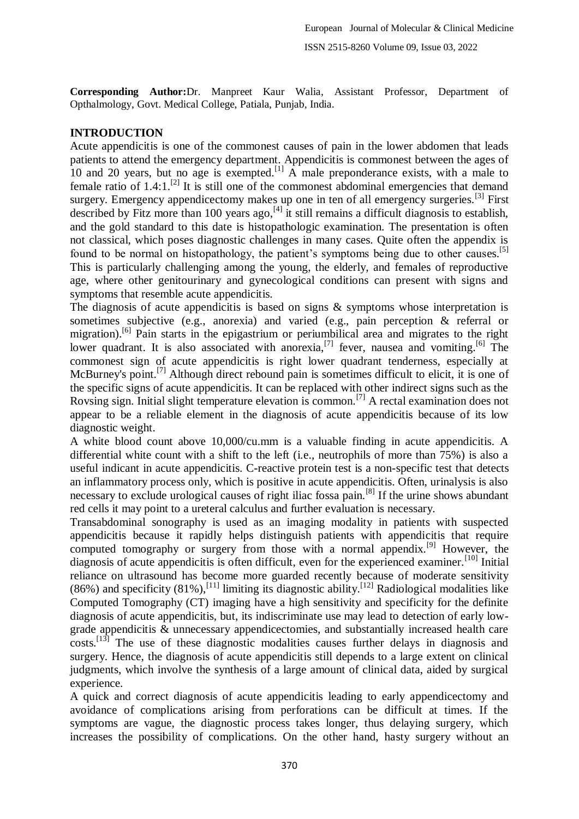**Corresponding Author:**Dr. Manpreet Kaur Walia, Assistant Professor, Department of Opthalmology, Govt. Medical College, Patiala, Punjab, India.

# **INTRODUCTION**

Acute appendicitis is one of the commonest causes of pain in the lower abdomen that leads patients to attend the emergency department. Appendicitis is commonest between the ages of 10 and 20 years, but no age is exempted.<sup>[1]</sup> A male preponderance exists, with a male to female ratio of  $1.4:1$ .<sup>[2]</sup> It is still one of the commonest abdominal emergencies that demand surgery. Emergency appendicectomy makes up one in ten of all emergency surgeries.<sup>[3]</sup> First described by Fitz more than 100 years ago,  $\begin{bmatrix} 4 \end{bmatrix}$  it still remains a difficult diagnosis to establish, and the gold standard to this date is histopathologic examination. The presentation is often not classical, which poses diagnostic challenges in many cases. Quite often the appendix is found to be normal on histopathology, the patient's symptoms being due to other causes.<sup>[5]</sup> This is particularly challenging among the young, the elderly, and females of reproductive age, where other genitourinary and gynecological conditions can present with signs and symptoms that resemble acute appendicitis.

The diagnosis of acute appendicitis is based on signs & symptoms whose interpretation is sometimes subjective (e.g., anorexia) and varied (e.g., pain perception & referral or migration).<sup>[6]</sup> Pain starts in the epigastrium or periumbilical area and migrates to the right lower quadrant. It is also associated with anorexia,<sup>[7]</sup> fever, nausea and vomiting.<sup>[6]</sup> The commonest sign of acute appendicitis is right lower quadrant tenderness, especially at McBurney's point.<sup>[7]</sup> Although direct rebound pain is sometimes difficult to elicit, it is one of the specific signs of acute appendicitis. It can be replaced with other indirect signs such as the Rovsing sign. Initial slight temperature elevation is common.[7] A rectal examination does not appear to be a reliable element in the diagnosis of acute appendicitis because of its low diagnostic weight.

A white blood count above 10,000/cu.mm is a valuable finding in acute appendicitis. A differential white count with a shift to the left (i.e., neutrophils of more than 75%) is also a useful indicant in acute appendicitis. C-reactive protein test is a non-specific test that detects an inflammatory process only, which is positive in acute appendicitis. Often, urinalysis is also necessary to exclude urological causes of right iliac fossa pain.<sup>[8]</sup> If the urine shows abundant red cells it may point to a ureteral calculus and further evaluation is necessary.

Transabdominal sonography is used as an imaging modality in patients with suspected appendicitis because it rapidly helps distinguish patients with appendicitis that require computed tomography or surgery from those with a normal appendix.<sup>[9]</sup> However, the diagnosis of acute appendicitis is often difficult, even for the experienced examiner.<sup>[10]</sup> Initial reliance on ultrasound has become more guarded recently because of moderate sensitivity (86%) and specificity (81%),<sup>[11]</sup> limiting its diagnostic ability.<sup>[12]</sup> Radiological modalities like Computed Tomography (CT) imaging have a high sensitivity and specificity for the definite diagnosis of acute appendicitis, but, its indiscriminate use may lead to detection of early lowgrade appendicitis & unnecessary appendicectomies, and substantially increased health care costs.[13] The use of these diagnostic modalities causes further delays in diagnosis and surgery. Hence, the diagnosis of acute appendicitis still depends to a large extent on clinical judgments, which involve the synthesis of a large amount of clinical data, aided by surgical experience.

A quick and correct diagnosis of acute appendicitis leading to early appendicectomy and avoidance of complications arising from perforations can be difficult at times. If the symptoms are vague, the diagnostic process takes longer, thus delaying surgery, which increases the possibility of complications. On the other hand, hasty surgery without an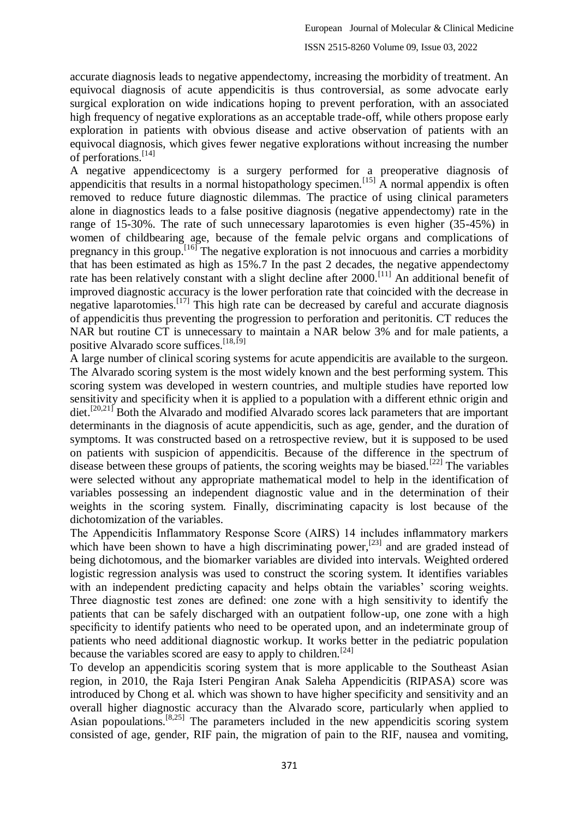accurate diagnosis leads to negative appendectomy, increasing the morbidity of treatment. An equivocal diagnosis of acute appendicitis is thus controversial, as some advocate early surgical exploration on wide indications hoping to prevent perforation, with an associated high frequency of negative explorations as an acceptable trade-off, while others propose early exploration in patients with obvious disease and active observation of patients with an equivocal diagnosis, which gives fewer negative explorations without increasing the number of perforations.[14]

A negative appendicectomy is a surgery performed for a preoperative diagnosis of appendicitis that results in a normal histopathology specimen.<sup>[15]</sup> A normal appendix is often removed to reduce future diagnostic dilemmas. The practice of using clinical parameters alone in diagnostics leads to a false positive diagnosis (negative appendectomy) rate in the range of 15-30%. The rate of such unnecessary laparotomies is even higher (35-45%) in women of childbearing age, because of the female pelvic organs and complications of pregnancy in this group.[16] The negative exploration is not innocuous and carries a morbidity that has been estimated as high as 15%.7 In the past 2 decades, the negative appendectomy rate has been relatively constant with a slight decline after 2000.<sup>[11]</sup> An additional benefit of improved diagnostic accuracy is the lower perforation rate that coincided with the decrease in negative laparotomies.<sup>[17]</sup> This high rate can be decreased by careful and accurate diagnosis of appendicitis thus preventing the progression to perforation and peritonitis. CT reduces the NAR but routine CT is unnecessary to maintain a NAR below 3% and for male patients, a positive Alvarado score suffices.[18,19]

A large number of clinical scoring systems for acute appendicitis are available to the surgeon. The Alvarado scoring system is the most widely known and the best performing system. This scoring system was developed in western countries, and multiple studies have reported low sensitivity and specificity when it is applied to a population with a different ethnic origin and diet.<sup>[20,21]</sup> Both the Alvarado and modified Alvarado scores lack parameters that are important determinants in the diagnosis of acute appendicitis, such as age, gender, and the duration of symptoms. It was constructed based on a retrospective review, but it is supposed to be used on patients with suspicion of appendicitis. Because of the difference in the spectrum of disease between these groups of patients, the scoring weights may be biased.<sup>[22]</sup> The variables were selected without any appropriate mathematical model to help in the identification of variables possessing an independent diagnostic value and in the determination of their weights in the scoring system. Finally, discriminating capacity is lost because of the dichotomization of the variables.

The Appendicitis Inflammatory Response Score (AIRS) 14 includes inflammatory markers which have been shown to have a high discriminating power,<sup>[23]</sup> and are graded instead of being dichotomous, and the biomarker variables are divided into intervals. Weighted ordered logistic regression analysis was used to construct the scoring system. It identifies variables with an independent predicting capacity and helps obtain the variables' scoring weights. Three diagnostic test zones are defined: one zone with a high sensitivity to identify the patients that can be safely discharged with an outpatient follow-up, one zone with a high specificity to identify patients who need to be operated upon, and an indeterminate group of patients who need additional diagnostic workup. It works better in the pediatric population because the variables scored are easy to apply to children.<sup>[24]</sup>

To develop an appendicitis scoring system that is more applicable to the Southeast Asian region, in 2010, the Raja Isteri Pengiran Anak Saleha Appendicitis (RIPASA) score was introduced by Chong et al. which was shown to have higher specificity and sensitivity and an overall higher diagnostic accuracy than the Alvarado score, particularly when applied to Asian popoulations.<sup>[8,25]</sup> The parameters included in the new appendicitis scoring system consisted of age, gender, RIF pain, the migration of pain to the RIF, nausea and vomiting,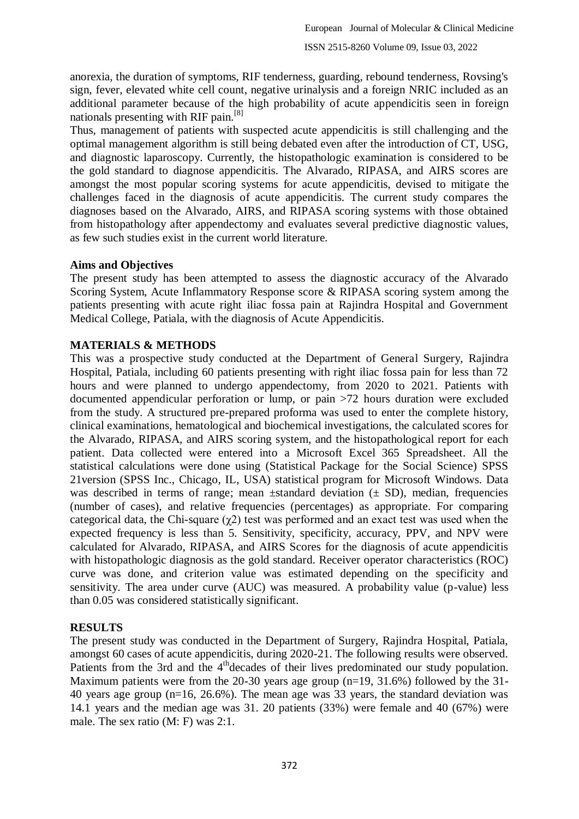anorexia, the duration of symptoms, RIF tenderness, guarding, rebound tenderness, Rovsing's sign, fever, elevated white cell count, negative urinalysis and a foreign NRIC included as an additional parameter because of the high probability of acute appendicitis seen in foreign nationals presenting with RIF pain.[8]

Thus, management of patients with suspected acute appendicitis is still challenging and the optimal management algorithm is still being debated even after the introduction of CT, USG, and diagnostic laparoscopy. Currently, the histopathologic examination is considered to be the gold standard to diagnose appendicitis. The Alvarado, RIPASA, and AIRS scores are amongst the most popular scoring systems for acute appendicitis, devised to mitigate the challenges faced in the diagnosis of acute appendicitis. The current study compares the diagnoses based on the Alvarado, AIRS, and RIPASA scoring systems with those obtained from histopathology after appendectomy and evaluates several predictive diagnostic values, as few such studies exist in the current world literature.

### **Aims and Objectives**

The present study has been attempted to assess the diagnostic accuracy of the Alvarado Scoring System, Acute Inflammatory Response score & RIPASA scoring system among the patients presenting with acute right iliac fossa pain at Rajindra Hospital and Government Medical College, Patiala, with the diagnosis of Acute Appendicitis.

### **MATERIALS & METHODS**

This was a prospective study conducted at the Department of General Surgery, Rajindra Hospital, Patiala, including 60 patients presenting with right iliac fossa pain for less than 72 hours and were planned to undergo appendectomy, from 2020 to 2021. Patients with documented appendicular perforation or lump, or pain >72 hours duration were excluded from the study. A structured pre-prepared proforma was used to enter the complete history, clinical examinations, hematological and biochemical investigations, the calculated scores for the Alvarado, RIPASA, and AIRS scoring system, and the histopathological report for each patient. Data collected were entered into a Microsoft Excel 365 Spreadsheet. All the statistical calculations were done using (Statistical Package for the Social Science) SPSS 21version (SPSS Inc., Chicago, IL, USA) statistical program for Microsoft Windows. Data was described in terms of range; mean  $\pm$ standard deviation ( $\pm$  SD), median, frequencies (number of cases), and relative frequencies (percentages) as appropriate. For comparing categorical data, the Chi-square  $(\chi^2)$  test was performed and an exact test was used when the expected frequency is less than 5. Sensitivity, specificity, accuracy, PPV, and NPV were calculated for Alvarado, RIPASA, and AIRS Scores for the diagnosis of acute appendicitis with histopathologic diagnosis as the gold standard. Receiver operator characteristics (ROC) curve was done, and criterion value was estimated depending on the specificity and sensitivity. The area under curve (AUC) was measured. A probability value (p-value) less than 0.05 was considered statistically significant.

# **RESULTS**

The present study was conducted in the Department of Surgery, Rajindra Hospital, Patiala, amongst 60 cases of acute appendicitis, during 2020-21. The following results were observed. Patients from the 3rd and the 4<sup>th</sup> decades of their lives predominated our study population. Maximum patients were from the 20-30 years age group (n=19, 31.6%) followed by the 31-40 years age group (n=16, 26.6%). The mean age was 33 years, the standard deviation was 14.1 years and the median age was 31. 20 patients (33%) were female and 40 (67%) were male. The sex ratio (M: F) was 2:1.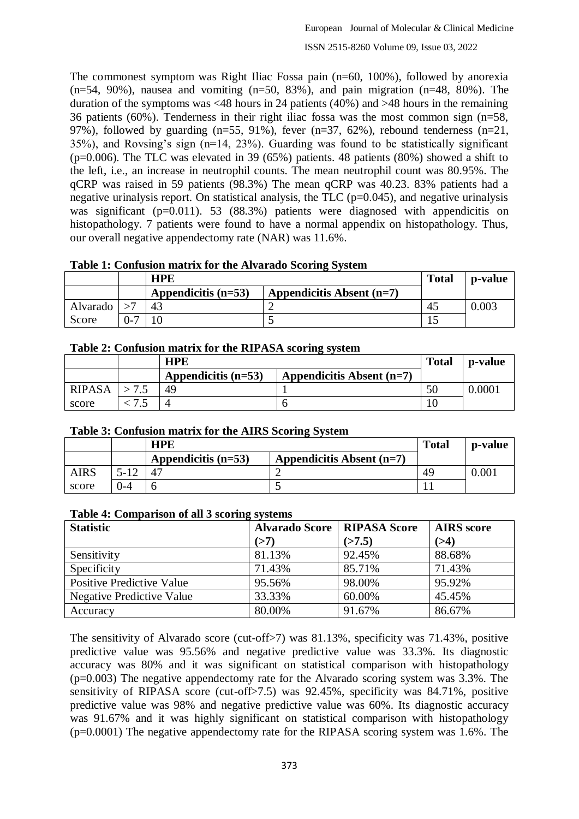The commonest symptom was Right Iliac Fossa pain (n=60, 100%), followed by anorexia  $(n=54, 90\%)$ , nausea and vomiting  $(n=50, 83\%)$ , and pain migration  $(n=48, 80\%)$ . The duration of the symptoms was  $\leq 48$  hours in 24 patients (40%) and  $\geq 48$  hours in the remaining 36 patients (60%). Tenderness in their right iliac fossa was the most common sign (n=58, 97%), followed by guarding  $(n=55, 91\%)$ , fever  $(n=37, 62\%)$ , rebound tenderness  $(n=21, 62\%)$ 35%), and Rovsing's sign (n=14, 23%). Guarding was found to be statistically significant  $(p=0.006)$ . The TLC was elevated in 39 (65%) patients. 48 patients (80%) showed a shift to the left, i.e., an increase in neutrophil counts. The mean neutrophil count was 80.95%. The qCRP was raised in 59 patients (98.3%) The mean qCRP was 40.23. 83% patients had a negative urinalysis report. On statistical analysis, the TLC  $(p=0.045)$ , and negative urinalysis was significant (p=0.011). 53 (88.3%) patients were diagnosed with appendicitis on histopathology. 7 patients were found to have a normal appendix on histopathology. Thus, our overall negative appendectomy rate (NAR) was 11.6%.

| TWOTO IT COMMONION MINUTES TOT THE THE WE WAS DEVELOPED TO TO THE |  |                       |                             |  |         |  |  |
|-------------------------------------------------------------------|--|-----------------------|-----------------------------|--|---------|--|--|
|                                                                   |  | <b>HPE</b>            |                             |  | p-value |  |  |
|                                                                   |  | Appendicitis $(n=53)$ | Appendicitis Absent $(n=7)$ |  |         |  |  |
| Alvarado   $>7$                                                   |  | 43                    |                             |  | 0.003   |  |  |
| Score                                                             |  |                       |                             |  |         |  |  |

#### **Table 1: Confusion matrix for the Alvarado Scoring System**

#### **Table 2: Confusion matrix for the RIPASA scoring system**

|               | ັ<br><b>HPE</b>       |                             |    | p-value    |
|---------------|-----------------------|-----------------------------|----|------------|
|               | Appendicitis $(n=53)$ | Appendicitis Absent $(n=7)$ |    |            |
| <b>RIPASA</b> | 49                    |                             | 50 | $0.0001\,$ |
| score         |                       |                             |    |            |

#### **Table 3: Confusion matrix for the AIRS Scoring System**

|       |      | <b>HPE</b>            |                           |    | p-value |
|-------|------|-----------------------|---------------------------|----|---------|
|       |      | Appendicitis $(n=53)$ | Appendicitis Absent (n=7) |    |         |
| AIRS  | 5.10 |                       |                           | 49 | 0.001   |
| score | N-4  |                       |                           |    |         |

#### **Table 4: Comparison of all 3 scoring systems**

| <b>Statistic</b>                 | <b>Alvarado Score   RIPASA Score</b> |        | <b>AIRS</b> score |
|----------------------------------|--------------------------------------|--------|-------------------|
|                                  | (>7)                                 | (>7.5) | (>4)              |
| Sensitivity                      | 81.13%                               | 92.45% | 88.68%            |
| Specificity                      | 71.43%                               | 85.71% | 71.43%            |
| <b>Positive Predictive Value</b> | 95.56%                               | 98.00% | 95.92%            |
| <b>Negative Predictive Value</b> | 33.33%                               | 60.00% | 45.45%            |
| Accuracy                         | 80.00%                               | 91.67% | 86.67%            |

The sensitivity of Alvarado score (cut-off>7) was 81.13%, specificity was 71.43%, positive predictive value was 95.56% and negative predictive value was 33.3%. Its diagnostic accuracy was 80% and it was significant on statistical comparison with histopathology  $(p=0.003)$  The negative appendectomy rate for the Alvarado scoring system was 3.3%. The sensitivity of RIPASA score (cut-off>7.5) was 92.45%, specificity was 84.71%, positive predictive value was 98% and negative predictive value was 60%. Its diagnostic accuracy was 91.67% and it was highly significant on statistical comparison with histopathology  $(p=0.0001)$  The negative appendectomy rate for the RIPASA scoring system was 1.6%. The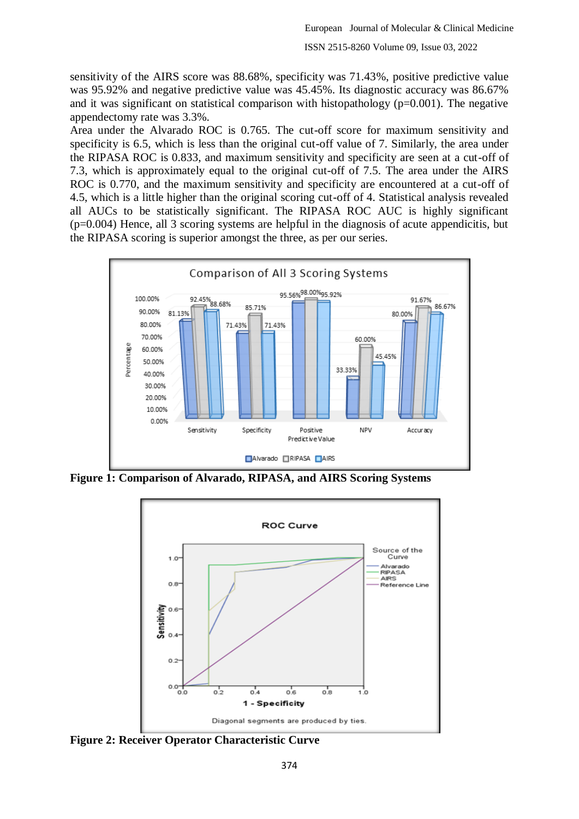sensitivity of the AIRS score was 88.68%, specificity was 71.43%, positive predictive value was 95.92% and negative predictive value was 45.45%. Its diagnostic accuracy was 86.67% and it was significant on statistical comparison with histopathology ( $p=0.001$ ). The negative appendectomy rate was 3.3%.

Area under the Alvarado ROC is 0.765. The cut-off score for maximum sensitivity and specificity is 6.5, which is less than the original cut-off value of 7. Similarly, the area under the RIPASA ROC is 0.833, and maximum sensitivity and specificity are seen at a cut-off of 7.3, which is approximately equal to the original cut-off of 7.5. The area under the AIRS ROC is 0.770, and the maximum sensitivity and specificity are encountered at a cut-off of 4.5, which is a little higher than the original scoring cut-off of 4. Statistical analysis revealed all AUCs to be statistically significant. The RIPASA ROC AUC is highly significant (p=0.004) Hence, all 3 scoring systems are helpful in the diagnosis of acute appendicitis, but the RIPASA scoring is superior amongst the three, as per our series.



**Figure 1: Comparison of Alvarado, RIPASA, and AIRS Scoring Systems**



**Figure 2: Receiver Operator Characteristic Curve**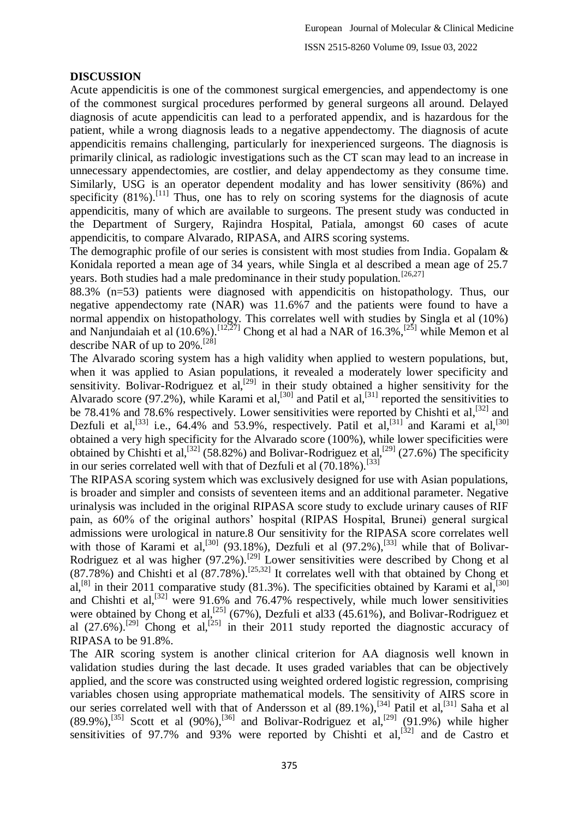## **DISCUSSION**

Acute appendicitis is one of the commonest surgical emergencies, and appendectomy is one of the commonest surgical procedures performed by general surgeons all around. Delayed diagnosis of acute appendicitis can lead to a perforated appendix, and is hazardous for the patient, while a wrong diagnosis leads to a negative appendectomy. The diagnosis of acute appendicitis remains challenging, particularly for inexperienced surgeons. The diagnosis is primarily clinical, as radiologic investigations such as the CT scan may lead to an increase in unnecessary appendectomies, are costlier, and delay appendectomy as they consume time. Similarly, USG is an operator dependent modality and has lower sensitivity (86%) and specificity  $(81\%)$ .<sup>[11]</sup> Thus, one has to rely on scoring systems for the diagnosis of acute appendicitis, many of which are available to surgeons. The present study was conducted in the Department of Surgery, Rajindra Hospital, Patiala, amongst 60 cases of acute appendicitis, to compare Alvarado, RIPASA, and AIRS scoring systems.

The demographic profile of our series is consistent with most studies from India. Gopalam & Konidala reported a mean age of 34 years, while Singla et al described a mean age of 25.7 years. Both studies had a male predominance in their study population.<sup>[26,27]</sup>

88.3% (n=53) patients were diagnosed with appendicitis on histopathology. Thus, our negative appendectomy rate (NAR) was 11.6%7 and the patients were found to have a normal appendix on histopathology. This correlates well with studies by Singla et al (10%) and Nanjundaiah et al  $(10.6\%)$ .<sup>[12,27]</sup> Chong et al had a NAR of 16.3%,<sup>[25]</sup> while Memon et al describe NAR of up to  $20\%$ .<sup>[28]</sup>

The Alvarado scoring system has a high validity when applied to western populations, but, when it was applied to Asian populations, it revealed a moderately lower specificity and sensitivity. Bolivar-Rodriguez et  $aI<sub>z</sub><sup>[29]</sup>$  in their study obtained a higher sensitivity for the Alvarado score (97.2%), while Karami et al,<sup>[30]</sup> and Patil et al,<sup>[31]</sup> reported the sensitivities to be 78.41% and 78.6% respectively. Lower sensitivities were reported by Chishti et al,<sup>[32]</sup> and Dezfuli et al,<sup>[33]</sup> i.e., 64.4% and 53.9%, respectively. Patil et al,<sup>[31]</sup> and Karami et al,<sup>[30]</sup> obtained a very high specificity for the Alvarado score (100%), while lower specificities were obtained by Chishti et al,<sup>[32]</sup> (58.82%) and Bolivar-Rodriguez et al,<sup>[29]</sup> (27.6%) The specificity in our series correlated well with that of Dezfuli et al  $(70.18\%)$ .<sup>[33]</sup>

The RIPASA scoring system which was exclusively designed for use with Asian populations, is broader and simpler and consists of seventeen items and an additional parameter. Negative urinalysis was included in the original RIPASA score study to exclude urinary causes of RIF pain, as 60% of the original authors' hospital (RIPAS Hospital, Brunei) general surgical admissions were urological in nature.8 Our sensitivity for the RIPASA score correlates well with those of Karami et al,<sup>[30]</sup> (93.18%), Dezfuli et al (97.2%),<sup>[33]</sup> while that of Bolivar-Rodriguez et al was higher  $(97.2\%)$ .<sup>[29]</sup> Lower sensitivities were described by Chong et al  $(87.78%)$  and Chishti et al  $(87.78%)$ .<sup>[25,32]</sup> It correlates well with that obtained by Chong et al,<sup>[8]</sup> in their 2011 comparative study (81.3%). The specificities obtained by Karami et al,<sup>[30]</sup> and Chishti et al,<sup>[32]</sup> were 91.6% and 76.47% respectively, while much lower sensitivities were obtained by Chong et al,<sup>[25]</sup> (67%), Dezfuli et al33 (45.61%), and Bolivar-Rodriguez et al  $(27.6\%)$ .<sup>[29]</sup> Chong et al,<sup>[25]</sup> in their 2011 study reported the diagnostic accuracy of RIPASA to be 91.8%.

The AIR scoring system is another clinical criterion for AA diagnosis well known in validation studies during the last decade. It uses graded variables that can be objectively applied, and the score was constructed using weighted ordered logistic regression, comprising variables chosen using appropriate mathematical models. The sensitivity of AIRS score in our series correlated well with that of Andersson et al (89.1%),<sup>[34]</sup> Patil et al,<sup>[31]</sup> Saha et al  $(89.9\%)$ ,<sup>[35]</sup> Scott et al  $(90\%)$ ,<sup>[36]</sup> and Bolivar-Rodriguez et al,<sup>[29]</sup> (91.9%) while higher sensitivities of 97.7% and 93% were reported by Chishti et al,<sup>[32]</sup> and de Castro et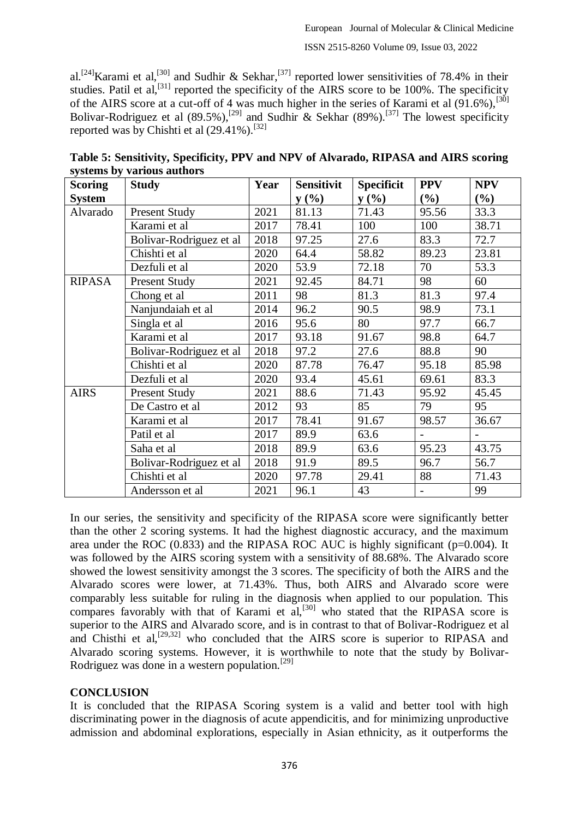al.<sup>[24]</sup>Karami et al,<sup>[30]</sup> and Sudhir & Sekhar,<sup>[37]</sup> reported lower sensitivities of 78.4% in their studies. Patil et al,<sup>[31]</sup> reported the specificity of the AIRS score to be  $100\%$ . The specificity of the AIRS score at a cut-off of 4 was much higher in the series of Karami et al  $(91.6\%)$ ,  $^{[30]}$ Bolivar-Rodriguez et al  $(89.5\%)$ ,<sup>[29]</sup> and Sudhir & Sekhar  $(89\%)$ .<sup>[37]</sup> The lowest specificity reported was by Chishti et al  $(29.41\%)$ .<sup>[32]</sup>

| <b>Scoring</b> | <b>Study</b>            | Year | <b>Sensitivit</b> | <b>Specificit</b> | <b>PPV</b>               | <b>NPV</b> |
|----------------|-------------------------|------|-------------------|-------------------|--------------------------|------------|
| <b>System</b>  |                         |      | y(%)              | y(%)              | (%)                      | $(\%)$     |
| Alvarado       | Present Study           | 2021 | 81.13             | 71.43             | 95.56                    | 33.3       |
|                | Karami et al            | 2017 | 78.41             | 100               | 100                      | 38.71      |
|                | Bolivar-Rodriguez et al | 2018 | 97.25             | 27.6              | 83.3                     | 72.7       |
|                | Chishti et al           | 2020 | 64.4              | 58.82             | 89.23                    | 23.81      |
|                | Dezfuli et al           | 2020 | 53.9              | 72.18             | 70                       | 53.3       |
| <b>RIPASA</b>  | Present Study           | 2021 | 92.45             | 84.71             | 98                       | 60         |
|                | Chong et al             | 2011 | 98                | 81.3              | 81.3                     | 97.4       |
|                | Nanjundaiah et al       | 2014 | 96.2              | 90.5              | 98.9                     | 73.1       |
|                | Singla et al            | 2016 | 95.6              | 80                | 97.7                     | 66.7       |
|                | Karami et al            | 2017 | 93.18             | 91.67             | 98.8                     | 64.7       |
|                | Bolivar-Rodriguez et al | 2018 | 97.2              | 27.6              | 88.8                     | 90         |
|                | Chishti et al           | 2020 | 87.78             | 76.47             | 95.18                    | 85.98      |
|                | Dezfuli et al           | 2020 | 93.4              | 45.61             | 69.61                    | 83.3       |
| <b>AIRS</b>    | Present Study           | 2021 | 88.6              | 71.43             | 95.92                    | 45.45      |
|                | De Castro et al         | 2012 | 93                | 85                | 79                       | 95         |
|                | Karami et al            | 2017 | 78.41             | 91.67             | 98.57                    | 36.67      |
|                | Patil et al             | 2017 | 89.9              | 63.6              |                          |            |
|                | Saha et al              | 2018 | 89.9              | 63.6              | 95.23                    | 43.75      |
|                | Bolivar-Rodriguez et al | 2018 | 91.9              | 89.5              | 96.7                     | 56.7       |
|                | Chishti et al           | 2020 | 97.78             | 29.41             | 88                       | 71.43      |
|                | Andersson et al         | 2021 | 96.1              | 43                | $\overline{\phantom{a}}$ | 99         |

**Table 5: Sensitivity, Specificity, PPV and NPV of Alvarado, RIPASA and AIRS scoring systems by various authors**

In our series, the sensitivity and specificity of the RIPASA score were significantly better than the other 2 scoring systems. It had the highest diagnostic accuracy, and the maximum area under the ROC  $(0.833)$  and the RIPASA ROC AUC is highly significant ( $p=0.004$ ). It was followed by the AIRS scoring system with a sensitivity of 88.68%. The Alvarado score showed the lowest sensitivity amongst the 3 scores. The specificity of both the AIRS and the Alvarado scores were lower, at 71.43%. Thus, both AIRS and Alvarado score were comparably less suitable for ruling in the diagnosis when applied to our population. This compares favorably with that of Karami et  $aI$ <sup>[30]</sup> who stated that the RIPASA score is superior to the AIRS and Alvarado score, and is in contrast to that of Bolivar-Rodriguez et al and Chisthi et al,<sup>[29,32]</sup> who concluded that the AIRS score is superior to RIPASA and Alvarado scoring systems. However, it is worthwhile to note that the study by Bolivar-Rodriguez was done in a western population.<sup>[29]</sup>

#### **CONCLUSION**

It is concluded that the RIPASA Scoring system is a valid and better tool with high discriminating power in the diagnosis of acute appendicitis, and for minimizing unproductive admission and abdominal explorations, especially in Asian ethnicity, as it outperforms the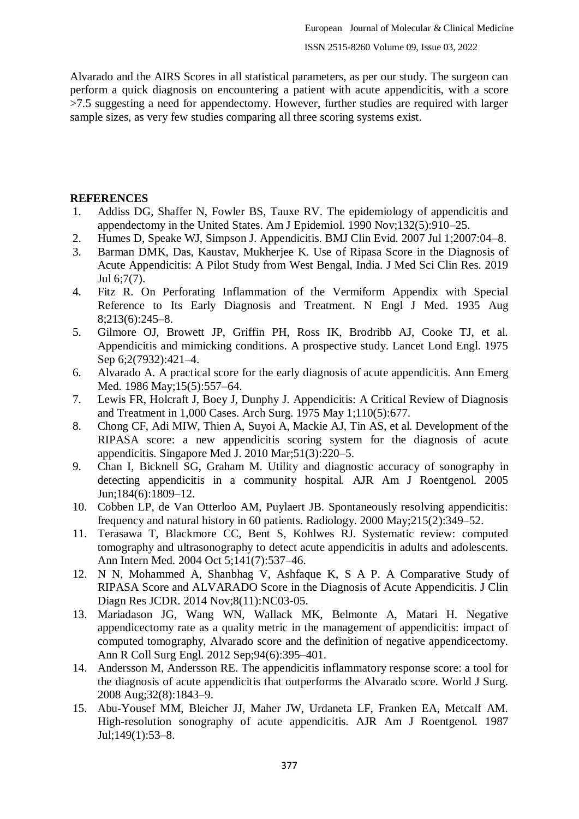Alvarado and the AIRS Scores in all statistical parameters, as per our study. The surgeon can perform a quick diagnosis on encountering a patient with acute appendicitis, with a score >7.5 suggesting a need for appendectomy. However, further studies are required with larger sample sizes, as very few studies comparing all three scoring systems exist.

## **REFERENCES**

- 1. Addiss DG, Shaffer N, Fowler BS, Tauxe RV. The epidemiology of appendicitis and appendectomy in the United States. Am J Epidemiol. 1990 Nov;132(5):910–25.
- 2. Humes D, Speake WJ, Simpson J. Appendicitis. BMJ Clin Evid. 2007 Jul 1;2007:04–8.
- 3. Barman DMK, Das, Kaustav, Mukherjee K. Use of Ripasa Score in the Diagnosis of Acute Appendicitis: A Pilot Study from West Bengal, India. J Med Sci Clin Res. 2019 Jul 6;7(7).
- 4. Fitz R. On Perforating Inflammation of the Vermiform Appendix with Special Reference to Its Early Diagnosis and Treatment. N Engl J Med. 1935 Aug 8;213(6):245–8.
- 5. Gilmore OJ, Browett JP, Griffin PH, Ross IK, Brodribb AJ, Cooke TJ, et al. Appendicitis and mimicking conditions. A prospective study. Lancet Lond Engl. 1975 Sep 6;2(7932):421–4.
- 6. Alvarado A. A practical score for the early diagnosis of acute appendicitis. Ann Emerg Med. 1986 May;15(5):557–64.
- 7. Lewis FR, Holcraft J, Boey J, Dunphy J. Appendicitis: A Critical Review of Diagnosis and Treatment in 1,000 Cases. Arch Surg. 1975 May 1;110(5):677.
- 8. Chong CF, Adi MIW, Thien A, Suyoi A, Mackie AJ, Tin AS, et al. Development of the RIPASA score: a new appendicitis scoring system for the diagnosis of acute appendicitis. Singapore Med J. 2010 Mar;51(3):220–5.
- 9. Chan I, Bicknell SG, Graham M. Utility and diagnostic accuracy of sonography in detecting appendicitis in a community hospital. AJR Am J Roentgenol. 2005 Jun;184(6):1809–12.
- 10. Cobben LP, de Van Otterloo AM, Puylaert JB. Spontaneously resolving appendicitis: frequency and natural history in 60 patients. Radiology. 2000 May;215(2):349–52.
- 11. Terasawa T, Blackmore CC, Bent S, Kohlwes RJ. Systematic review: computed tomography and ultrasonography to detect acute appendicitis in adults and adolescents. Ann Intern Med. 2004 Oct 5;141(7):537–46.
- 12. N N, Mohammed A, Shanbhag V, Ashfaque K, S A P. A Comparative Study of RIPASA Score and ALVARADO Score in the Diagnosis of Acute Appendicitis. J Clin Diagn Res JCDR. 2014 Nov;8(11):NC03-05.
- 13. Mariadason JG, Wang WN, Wallack MK, Belmonte A, Matari H. Negative appendicectomy rate as a quality metric in the management of appendicitis: impact of computed tomography, Alvarado score and the definition of negative appendicectomy. Ann R Coll Surg Engl. 2012 Sep;94(6):395–401.
- 14. Andersson M, Andersson RE. The appendicitis inflammatory response score: a tool for the diagnosis of acute appendicitis that outperforms the Alvarado score. World J Surg. 2008 Aug;32(8):1843–9.
- 15. Abu-Yousef MM, Bleicher JJ, Maher JW, Urdaneta LF, Franken EA, Metcalf AM. High-resolution sonography of acute appendicitis. AJR Am J Roentgenol. 1987 Jul;149(1):53–8.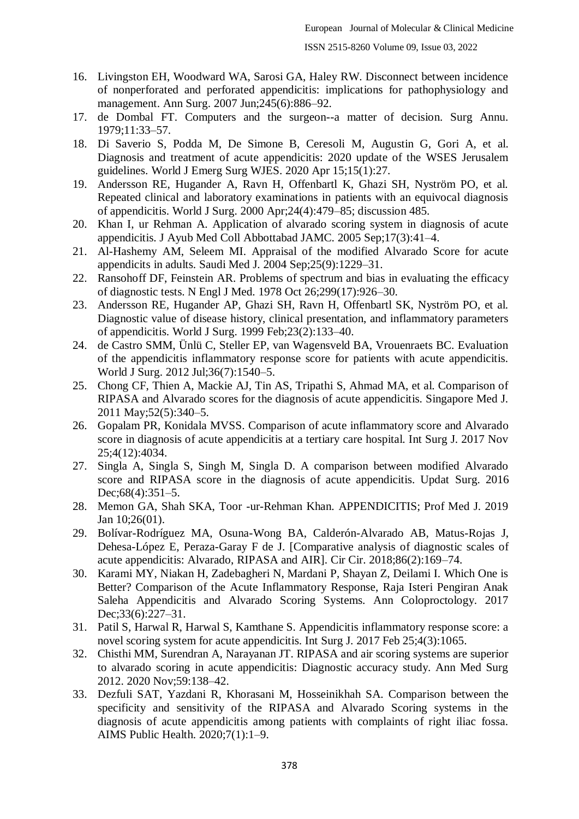- 16. Livingston EH, Woodward WA, Sarosi GA, Haley RW. Disconnect between incidence of nonperforated and perforated appendicitis: implications for pathophysiology and management. Ann Surg. 2007 Jun;245(6):886–92.
- 17. de Dombal FT. Computers and the surgeon--a matter of decision. Surg Annu. 1979;11:33–57.
- 18. Di Saverio S, Podda M, De Simone B, Ceresoli M, Augustin G, Gori A, et al. Diagnosis and treatment of acute appendicitis: 2020 update of the WSES Jerusalem guidelines. World J Emerg Surg WJES. 2020 Apr 15;15(1):27.
- 19. Andersson RE, Hugander A, Ravn H, Offenbartl K, Ghazi SH, Nyström PO, et al. Repeated clinical and laboratory examinations in patients with an equivocal diagnosis of appendicitis. World J Surg. 2000 Apr;24(4):479–85; discussion 485.
- 20. Khan I, ur Rehman A. Application of alvarado scoring system in diagnosis of acute appendicitis. J Ayub Med Coll Abbottabad JAMC. 2005 Sep;17(3):41–4.
- 21. Al-Hashemy AM, Seleem MI. Appraisal of the modified Alvarado Score for acute appendicits in adults. Saudi Med J. 2004 Sep;25(9):1229–31.
- 22. Ransohoff DF, Feinstein AR. Problems of spectrum and bias in evaluating the efficacy of diagnostic tests. N Engl J Med. 1978 Oct 26;299(17):926–30.
- 23. Andersson RE, Hugander AP, Ghazi SH, Ravn H, Offenbartl SK, Nyström PO, et al. Diagnostic value of disease history, clinical presentation, and inflammatory parameters of appendicitis. World J Surg. 1999 Feb;23(2):133–40.
- 24. de Castro SMM, Ünlü C, Steller EP, van Wagensveld BA, Vrouenraets BC. Evaluation of the appendicitis inflammatory response score for patients with acute appendicitis. World J Surg. 2012 Jul;36(7):1540–5.
- 25. Chong CF, Thien A, Mackie AJ, Tin AS, Tripathi S, Ahmad MA, et al. Comparison of RIPASA and Alvarado scores for the diagnosis of acute appendicitis. Singapore Med J. 2011 May;52(5):340–5.
- 26. Gopalam PR, Konidala MVSS. Comparison of acute inflammatory score and Alvarado score in diagnosis of acute appendicitis at a tertiary care hospital. Int Surg J. 2017 Nov 25;4(12):4034.
- 27. Singla A, Singla S, Singh M, Singla D. A comparison between modified Alvarado score and RIPASA score in the diagnosis of acute appendicitis. Updat Surg. 2016 Dec; 68(4): 351–5.
- 28. Memon GA, Shah SKA, Toor -ur-Rehman Khan. APPENDICITIS; Prof Med J. 2019 Jan 10;26(01).
- 29. Bolívar-Rodríguez MA, Osuna-Wong BA, Calderón-Alvarado AB, Matus-Rojas J, Dehesa-López E, Peraza-Garay F de J. [Comparative analysis of diagnostic scales of acute appendicitis: Alvarado, RIPASA and AIR]. Cir Cir. 2018;86(2):169–74.
- 30. Karami MY, Niakan H, Zadebagheri N, Mardani P, Shayan Z, Deilami I. Which One is Better? Comparison of the Acute Inflammatory Response, Raja Isteri Pengiran Anak Saleha Appendicitis and Alvarado Scoring Systems. Ann Coloproctology. 2017 Dec; 33(6): 227–31.
- 31. Patil S, Harwal R, Harwal S, Kamthane S. Appendicitis inflammatory response score: a novel scoring system for acute appendicitis. Int Surg J. 2017 Feb 25;4(3):1065.
- 32. Chisthi MM, Surendran A, Narayanan JT. RIPASA and air scoring systems are superior to alvarado scoring in acute appendicitis: Diagnostic accuracy study. Ann Med Surg 2012. 2020 Nov;59:138–42.
- 33. Dezfuli SAT, Yazdani R, Khorasani M, Hosseinikhah SA. Comparison between the specificity and sensitivity of the RIPASA and Alvarado Scoring systems in the diagnosis of acute appendicitis among patients with complaints of right iliac fossa. AIMS Public Health. 2020;7(1):1–9.